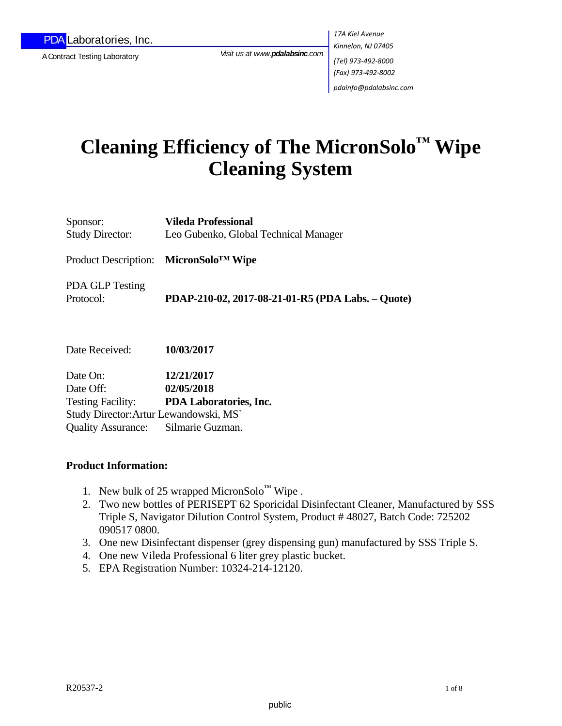A Contract Testing Laboratory

*Visit us at www.pdalabsinc.com*

*17A Kiel Avenue Kinnelon, NJ 07405 (Tel) 973-492-8000 (Fax) 973-492-8002 pdainfo@pdalabsinc.com* 

# **Cleaning Efficiency of The MicronSolo™ Wipe Cleaning System**

Sponsor: **Vileda Professional**  Study Director: Leo Gubenko, Global Technical Manager

Product Description: **MicronSolo™ Wipe**

PDA GLP Testing

Protocol: **PDAP-210-02, 2017-08-21-01-R5 (PDA Labs. – Quote)**

Date Received: **10/03/2017**

Date On: **12/21/2017** Date Off: **02/05/2018** Testing Facility: **PDA Laboratories, Inc.** Study Director:Artur Lewandowski, MS` Quality Assurance: Silmarie Guzman.

### **Product Information:**

- 1. New bulk of 25 wrapped MicronSolo<sup>™</sup> Wipe.
- 2. Two new bottles of PERISEPT 62 Sporicidal Disinfectant Cleaner, Manufactured by SSS Triple S, Navigator Dilution Control System, Product # 48027, Batch Code: 725202 090517 0800.
- 3. One new Disinfectant dispenser (grey dispensing gun) manufactured by SSS Triple S.
- 4. One new Vileda Professional 6 liter grey plastic bucket.
- 5. EPA Registration Number: 10324-214-12120.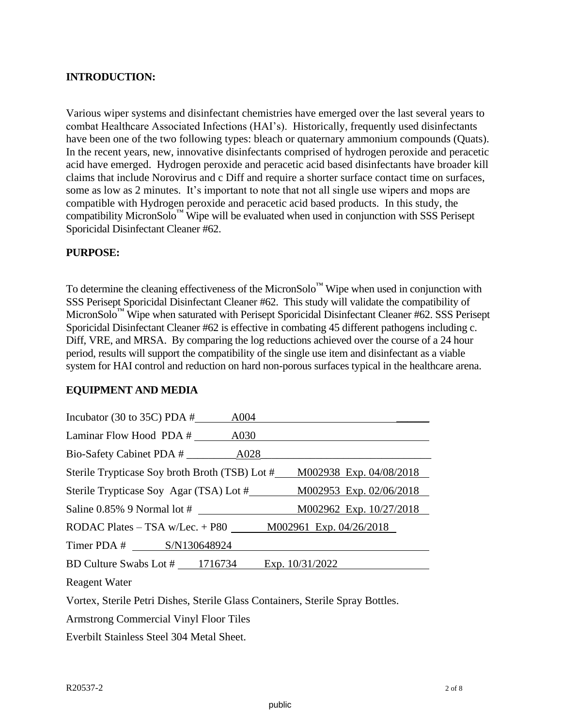#### **INTRODUCTION:**

Various wiper systems and disinfectant chemistries have emerged over the last several years to combat Healthcare Associated Infections (HAI's). Historically, frequently used disinfectants have been one of the two following types: bleach or quaternary ammonium compounds (Quats). In the recent years, new, innovative disinfectants comprised of hydrogen peroxide and peracetic acid have emerged. Hydrogen peroxide and peracetic acid based disinfectants have broader kill claims that include Norovirus and c Diff and require a shorter surface contact time on surfaces, some as low as 2 minutes. It's important to note that not all single use wipers and mops are compatible with Hydrogen peroxide and peracetic acid based products. In this study, the compatibility MicronSolo $^{\text{m}}$  Wipe will be evaluated when used in conjunction with SSS Perisept Sporicidal Disinfectant Cleaner #62.

#### **PURPOSE:**

To determine the cleaning effectiveness of the MicronSolo<sup>™</sup> Wipe when used in conjunction with SSS Perisept Sporicidal Disinfectant Cleaner #62. This study will validate the compatibility of MicronSolo™ Wipe when saturated with Perisept Sporicidal Disinfectant Cleaner #62. SSS Perisept Sporicidal Disinfectant Cleaner #62 is effective in combating 45 different pathogens including c. Diff, VRE, and MRSA. By comparing the log reductions achieved over the course of a 24 hour period, results will support the compatibility of the single use item and disinfectant as a viable system for HAI control and reduction on hard non-porous surfaces typical in the healthcare arena.

#### **EQUIPMENT AND MEDIA**

| Incubator (30 to 35C) PDA $#$                     | A004                                                                     |
|---------------------------------------------------|--------------------------------------------------------------------------|
| Laminar Flow Hood PDA #                           | A030                                                                     |
|                                                   |                                                                          |
|                                                   | Sterile Trypticase Soy broth Broth (TSB) Lot # M002938 Exp. 04/08/2018   |
|                                                   | Sterile Trypticase Soy Agar (TSA) Lot #_________ M002953 Exp. 02/06/2018 |
| Saline $0.85\%$ 9 Normal lot #                    | M002962 Exp. 10/27/2018                                                  |
|                                                   | RODAC Plates – TSA w/Lec. + P80 $M002961$ Exp. 04/26/2018                |
| Timer PDA # S/N130648924                          |                                                                          |
| BD Culture Swabs Lot $\#$ 1716734 Exp. 10/31/2022 |                                                                          |
| <b>Reagent Water</b>                              |                                                                          |

Vortex, Sterile Petri Dishes, Sterile Glass Containers, Sterile Spray Bottles.

Armstrong Commercial Vinyl Floor Tiles

Everbilt Stainless Steel 304 Metal Sheet.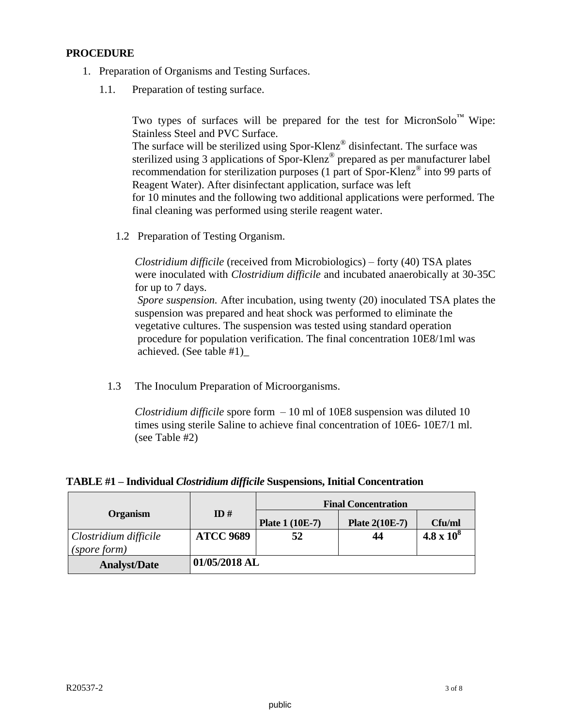#### **PROCEDURE**

- 1. Preparation of Organisms and Testing Surfaces.
	- 1.1. Preparation of testing surface.

Two types of surfaces will be prepared for the test for MicronSolo™ Wipe: Stainless Steel and PVC Surface. The surface will be sterilized using Spor-Klenz<sup>®</sup> disinfectant. The surface was sterilized using 3 applications of Spor-Klenz® prepared as per manufacturer label recommendation for sterilization purposes (1 part of Spor-Klenz® into 99 parts of Reagent Water). After disinfectant application, surface was left for 10 minutes and the following two additional applications were performed. The final cleaning was performed using sterile reagent water.

1.2 Preparation of Testing Organism.

 *Clostridium difficile* (received from Microbiologics) – forty (40) TSA plates were inoculated with *Clostridium difficile* and incubated anaerobically at 30-35C for up to 7 days.

 *Spore suspension.* After incubation, using twenty (20) inoculated TSA plates the suspension was prepared and heat shock was performed to eliminate the vegetative cultures. The suspension was tested using standard operation procedure for population verification. The final concentration 10E8/1ml was achieved. (See table #1)\_

1.3 The Inoculum Preparation of Microorganisms.

 *Clostridium difficile* spore form – 10 ml of 10E8 suspension was diluted 10 times using sterile Saline to achieve final concentration of 10E6- 10E7/1 ml. (see Table #2)

|  |  |  | TABLE #1 - Individual Clostridium difficile Suspensions, Initial Concentration |
|--|--|--|--------------------------------------------------------------------------------|
|  |  |  |                                                                                |

|                       |                  | <b>Final Concentration</b> |                       |                   |  |  |
|-----------------------|------------------|----------------------------|-----------------------|-------------------|--|--|
| <b>Organism</b>       | ID#              | <b>Plate 1 (10E-7)</b>     | <b>Plate 2(10E-7)</b> | Cfu/ml            |  |  |
| Clostridium difficile | <b>ATCC 9689</b> | 52                         | 44                    | $4.8 \times 10^8$ |  |  |
| (spore form)          |                  |                            |                       |                   |  |  |
| <b>Analyst/Date</b>   | 01/05/2018 AL    |                            |                       |                   |  |  |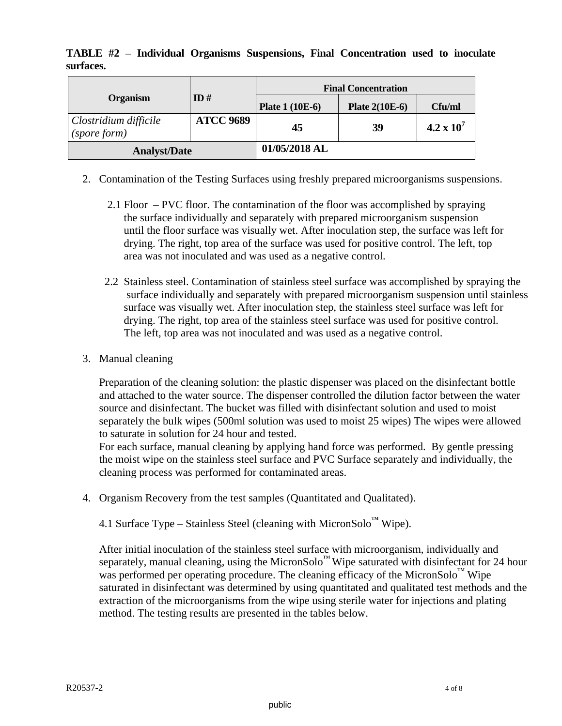**TABLE #2 – Individual Organisms Suspensions, Final Concentration used to inoculate surfaces.**

|                                       |                  | <b>Final Concentration</b> |                       |                     |  |  |
|---------------------------------------|------------------|----------------------------|-----------------------|---------------------|--|--|
| <b>Organism</b>                       | ID#              | <b>Plate 1 (10E-6)</b>     | <b>Plate 2(10E-6)</b> | Cfu/ml              |  |  |
| Clostridium difficile<br>(spore form) | <b>ATCC 9689</b> | 45                         | 39                    | $4.2 \times 10^{7}$ |  |  |
| <b>Analyst/Date</b>                   |                  | 01/05/2018 AL              |                       |                     |  |  |

- 2. Contamination of the Testing Surfaces using freshly prepared microorganisms suspensions.
	- 2.1 Floor PVC floor. The contamination of the floor was accomplished by spraying the surface individually and separately with prepared microorganism suspension until the floor surface was visually wet. After inoculation step, the surface was left for drying. The right, top area of the surface was used for positive control. The left, top area was not inoculated and was used as a negative control.
	- 2.2 Stainless steel. Contamination of stainless steel surface was accomplished by spraying the surface individually and separately with prepared microorganism suspension until stainless surface was visually wet. After inoculation step, the stainless steel surface was left for drying. The right, top area of the stainless steel surface was used for positive control. The left, top area was not inoculated and was used as a negative control.
- 3. Manual cleaning

Preparation of the cleaning solution: the plastic dispenser was placed on the disinfectant bottle and attached to the water source. The dispenser controlled the dilution factor between the water source and disinfectant. The bucket was filled with disinfectant solution and used to moist separately the bulk wipes (500ml solution was used to moist 25 wipes) The wipes were allowed to saturate in solution for 24 hour and tested.

For each surface, manual cleaning by applying hand force was performed. By gentle pressing the moist wipe on the stainless steel surface and PVC Surface separately and individually, the cleaning process was performed for contaminated areas.

4. Organism Recovery from the test samples (Quantitated and Qualitated).

4.1 Surface Type – Stainless Steel (cleaning with MicronSolo™ Wipe).

After initial inoculation of the stainless steel surface with microorganism, individually and separately, manual cleaning, using the MicronSolo™ Wipe saturated with disinfectant for 24 hour was performed per operating procedure. The cleaning efficacy of the MicronSolo<sup>™</sup> Wipe saturated in disinfectant was determined by using quantitated and qualitated test methods and the extraction of the microorganisms from the wipe using sterile water for injections and plating method. The testing results are presented in the tables below.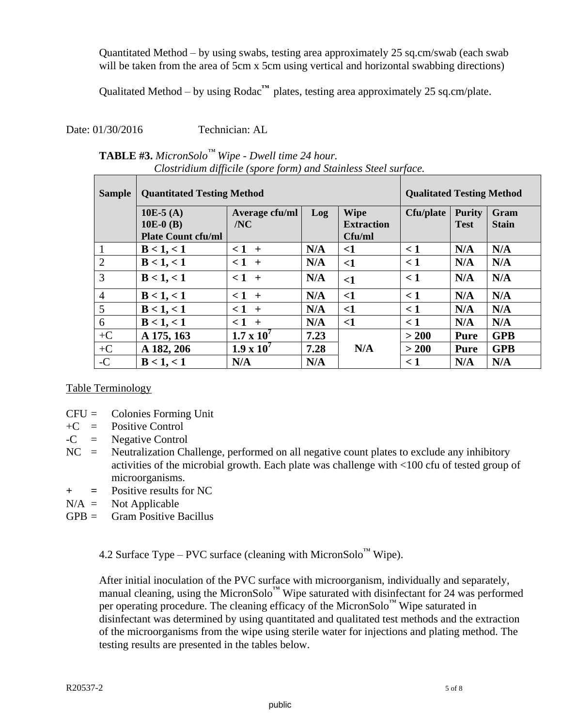Quantitated Method – by using swabs, testing area approximately 25 sq.cm/swab (each swab will be taken from the area of 5cm x 5cm using vertical and horizontal swabbing directions)

Qualitated Method – by using Rodac**™** plates, testing area approximately 25 sq.cm/plate.

Date: 01/30/2016 Technician: AL

| <b>TABLE #3.</b> MicronSolo <sup>TM</sup> Wipe - Dwell time 24 hour. |
|----------------------------------------------------------------------|
| Clostridium difficile (spore form) and Stainless Steel surface.      |

| <b>Sample</b>  | <b>Quantitated Testing Method</b> |                       |      |                                  |           | <b>Qualitated Testing Method</b> |                      |  |
|----------------|-----------------------------------|-----------------------|------|----------------------------------|-----------|----------------------------------|----------------------|--|
|                | 10E-5 $(A)$<br>$10E-0$ (B)        | Average cfu/ml<br>/NC | Log  | <b>Wipe</b><br><b>Extraction</b> | Cfu/plate | <b>Purity</b><br><b>Test</b>     | Gram<br><b>Stain</b> |  |
|                | <b>Plate Count cfu/ml</b>         |                       |      | Cfu/ml                           |           |                                  |                      |  |
|                | B < 1, < 1                        | $1 +$                 | N/A  | ${<}1$                           | $\leq 1$  | N/A                              | N/A                  |  |
| $\overline{2}$ | B < 1, < 1                        | $1 +$                 | N/A  | $<$ 1                            | $\leq 1$  | N/A                              | N/A                  |  |
| 3              | B < 1, < 1                        | $1 +$                 | N/A  | $<$ 1                            | $\leq 1$  | N/A                              | N/A                  |  |
| $\overline{4}$ | B < 1, < 1                        | $1 +$                 | N/A  | $<$ 1                            | $\lt 1$   | N/A                              | N/A                  |  |
| 5              | B < 1, < 1                        | $< 1 +$               | N/A  | $<$ 1                            | $\leq 1$  | N/A                              | N/A                  |  |
| 6              | B < 1, < 1                        | $1 +$                 | N/A  | $<$ 1                            | $\leq 1$  | N/A                              | N/A                  |  |
| $+C$           | A 175, 163                        | $1.7 \times 10^{7}$   | 7.23 |                                  | >200      | <b>Pure</b>                      | <b>GPB</b>           |  |
| $+C$           | A 182, 206                        | $1.9 \times 10^{7}$   | 7.28 | N/A                              | >200      | <b>Pure</b>                      | <b>GPB</b>           |  |
| $-C$           | B < 1, < 1                        | N/A                   | N/A  |                                  | $\leq 1$  | N/A                              | N/A                  |  |

#### Table Terminology

- CFU = Colonies Forming Unit
- $+C$  = Positive Control
- $-C = Negative Control$
- NC = Neutralization Challenge, performed on all negative count plates to exclude any inhibitory activities of the microbial growth. Each plate was challenge with <100 cfu of tested group of microorganisms.
- **+ =** Positive results for NC
- $N/A =$  Not Applicable
- $GPR = \text{Gram Positive Bacillus}$

4.2 Surface Type – PVC surface (cleaning with MicronSolo<sup>™</sup> Wipe).

After initial inoculation of the PVC surface with microorganism, individually and separately, manual cleaning, using the MicronSolo™ Wipe saturated with disinfectant for 24 was performed per operating procedure. The cleaning efficacy of the MicronSolo™ Wipe saturated in disinfectant was determined by using quantitated and qualitated test methods and the extraction of the microorganisms from the wipe using sterile water for injections and plating method. The testing results are presented in the tables below.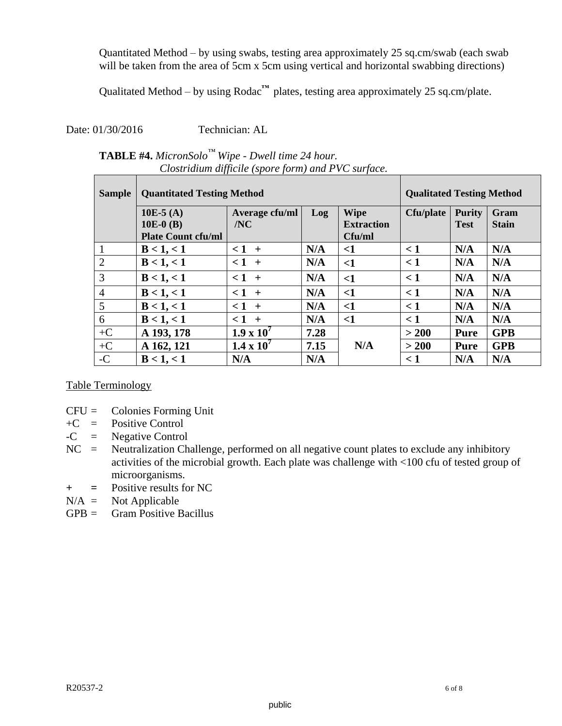Quantitated Method – by using swabs, testing area approximately 25 sq.cm/swab (each swab will be taken from the area of 5cm x 5cm using vertical and horizontal swabbing directions)

Qualitated Method – by using Rodac**™** plates, testing area approximately 25 sq.cm/plate.

Date: 01/30/2016 Technician: AL

# **TABLE #4.** *MicronSolo™ Wipe - Dwell time 24 hour.*  *Clostridium difficile (spore form) and PVC surface.*

| <b>Sample</b>  | <b>Quantitated Testing Method</b> |                     |      |                   |           | <b>Qualitated Testing Method</b> |              |  |
|----------------|-----------------------------------|---------------------|------|-------------------|-----------|----------------------------------|--------------|--|
|                | 10E-5 $(A)$                       | Average cfu/ml      | Log  | <b>Wipe</b>       | Cfu/plate | <b>Purity</b>                    | Gram         |  |
|                | $10E-0$ (B)                       | /NC                 |      | <b>Extraction</b> |           | <b>Test</b>                      | <b>Stain</b> |  |
|                | <b>Plate Count cfu/ml</b>         |                     |      | Cfu/ml            |           |                                  |              |  |
| $\mathbf{1}$   | B < 1, < 1                        | $1 +$               | N/A  | $\leq$            | $\leq 1$  | N/A                              | N/A          |  |
| $\overline{2}$ | B < 1, < 1                        | $1 +$               | N/A  | $\leq$ 1          | $\leq 1$  | N/A                              | N/A          |  |
| $\overline{3}$ | B < 1, < 1                        | $1 +$               | N/A  | $\leq$ 1          | $\leq 1$  | N/A                              | N/A          |  |
| $\overline{4}$ | B < 1, < 1                        | $1 +$               | N/A  | $\leq$ 1          | $\leq 1$  | N/A                              | N/A          |  |
| 5              | B < 1, < 1                        | $< 1 +$             | N/A  | $\leq$ 1          | < 1       | N/A                              | N/A          |  |
| 6              | B < 1, < 1                        | $1 +$               | N/A  | $\leq$ 1          | $\leq 1$  | N/A                              | N/A          |  |
| $+C$           | A 193, 178                        | $1.9 \times 10^{7}$ | 7.28 |                   | > 200     | <b>Pure</b>                      | <b>GPB</b>   |  |
| $+C$           | A 162, 121                        | $1.4 \times 10^{7}$ | 7.15 | N/A               | > 200     | Pure                             | <b>GPB</b>   |  |
| $-C$           | B < 1, < 1                        | N/A                 | N/A  |                   | $\leq 1$  | N/A                              | N/A          |  |

Table Terminology

- CFU = Colonies Forming Unit
- $+C$  = Positive Control
- $-C = Negative Control$
- $NC =$  Neutralization Challenge, performed on all negative count plates to exclude any inhibitory activities of the microbial growth. Each plate was challenge with <100 cfu of tested group of microorganisms.
- **+ =** Positive results for NC
- $N/A =$  Not Applicable
- $GPB = \quad$  Gram Positive Bacillus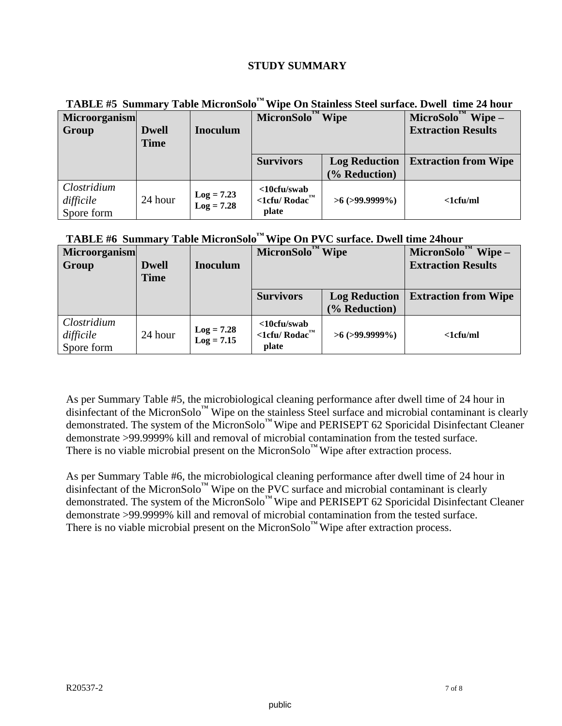## **STUDY SUMMARY**

|                                        | $\blacksquare$<br>Turie will onder |                              |                                                                     |                       |                                   |  |
|----------------------------------------|------------------------------------|------------------------------|---------------------------------------------------------------------|-----------------------|-----------------------------------|--|
| <b>Microorganism</b>                   |                                    |                              | MicronSolo <sup>'</sup>                                             | <b>Wipe</b>           | $Wipe-$<br>MicroSolo <sup>'</sup> |  |
| Group                                  | <b>Dwell</b>                       | <b>Inoculum</b>              |                                                                     |                       | <b>Extraction Results</b>         |  |
|                                        | <b>Time</b>                        |                              |                                                                     |                       |                                   |  |
|                                        |                                    |                              | <b>Survivors</b>                                                    | <b>Log Reduction</b>  | <b>Extraction from Wipe</b>       |  |
|                                        |                                    |                              |                                                                     | (% Reduction)         |                                   |  |
| Clostridium<br>difficile<br>Spore form | 24 hour                            | $Log = 7.23$<br>$Log = 7.28$ | <10cfu/swab<br>$\lt1$ cfu/ Rodac $\mathbf{r}^{\mathbf{m}}$<br>plate | $>6$ ( $>99.9999\%$ ) | $\langle$ 1 $cfu/ml$              |  |

**TABLE #5 Summary Table MicronSolo™ Wipe On Stainless Steel surface. Dwell time 24 hour**

# **TABLE #6 Summary Table MicronSolo™ Wipe On PVC surface. Dwell time 24hour**

| <b>Microorganism</b><br>Group          | <b>Dwell</b><br><b>Time</b> | <b>Inoculum</b>              | $\mathbf{D}^{\text{TM}}$ Wipe<br>MicronSolo                   |                                       | MicronSolo <sup>'</sup><br>$Wipe-$<br><b>Extraction Results</b> |
|----------------------------------------|-----------------------------|------------------------------|---------------------------------------------------------------|---------------------------------------|-----------------------------------------------------------------|
|                                        |                             |                              | <b>Survivors</b>                                              | <b>Log Reduction</b><br>(% Reduction) | <b>Extraction from Wipe</b>                                     |
| Clostridium<br>difficile<br>Spore form | 24 hour                     | $Log = 7.28$<br>$Log = 7.15$ | $<$ 10cfu/swab<br>$\langle$ 1cfu/Rodac $^{\text{m}}$<br>plate | $>6$ ( $>99.9999\%$ )                 | $\langle$ 1 $cfu/ml$                                            |

As per Summary Table #5, the microbiological cleaning performance after dwell time of 24 hour in disinfectant of the MicronSolo™ Wipe on the stainless Steel surface and microbial contaminant is clearly demonstrated. The system of the MicronSolo<sup>™</sup> Wipe and PERISEPT 62 Sporicidal Disinfectant Cleaner demonstrate >99.9999% kill and removal of microbial contamination from the tested surface. There is no viable microbial present on the MicronSolo™ Wipe after extraction process.

As per Summary Table #6, the microbiological cleaning performance after dwell time of 24 hour in disinfectant of the MicronSolo™ Wipe on the PVC surface and microbial contaminant is clearly demonstrated. The system of the MicronSolo<sup>™</sup> Wipe and PERISEPT 62 Sporicidal Disinfectant Cleaner demonstrate >99.9999% kill and removal of microbial contamination from the tested surface. There is no viable microbial present on the MicronSolo™ Wipe after extraction process.